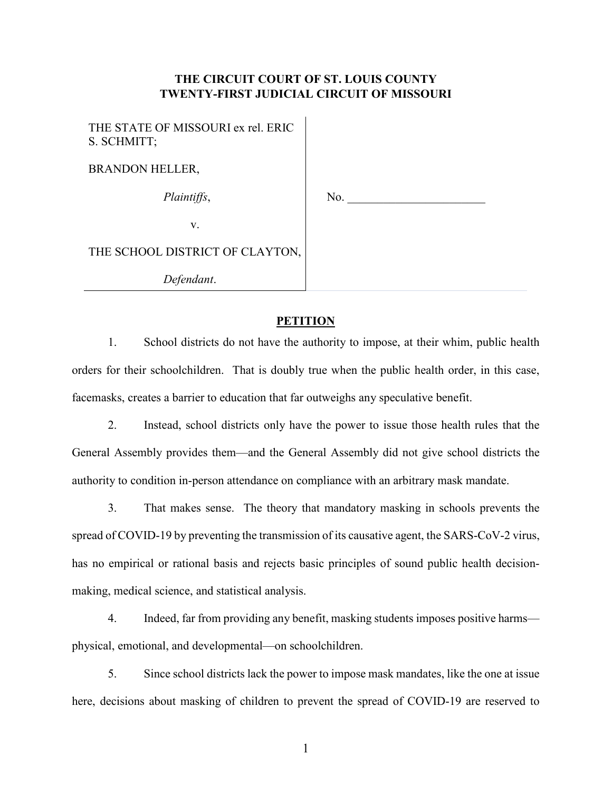# **THE CIRCUIT COURT OF ST. LOUIS COUNTY TWENTY-FIRST JUDICIAL CIRCUIT OF MISSOURI**

 $\mathbf{I}$ 

| THE STATE OF MISSOURI ex rel. ERIC<br>S. SCHMITT; |     |
|---------------------------------------------------|-----|
| <b>BRANDON HELLER,</b>                            |     |
| Plaintiffs,                                       | No. |
| V.                                                |     |
| THE SCHOOL DISTRICT OF CLAYTON,                   |     |
| Defendant.                                        |     |

## **PETITION**

1. School districts do not have the authority to impose, at their whim, public health orders for their schoolchildren. That is doubly true when the public health order, in this case, facemasks, creates a barrier to education that far outweighs any speculative benefit.

2. Instead, school districts only have the power to issue those health rules that the General Assembly provides them—and the General Assembly did not give school districts the authority to condition in-person attendance on compliance with an arbitrary mask mandate.

3. That makes sense. The theory that mandatory masking in schools prevents the spread of COVID-19 by preventing the transmission of its causative agent, the SARS-CoV-2 virus, has no empirical or rational basis and rejects basic principles of sound public health decisionmaking, medical science, and statistical analysis.

4. Indeed, far from providing any benefit, masking students imposes positive harms physical, emotional, and developmental—on schoolchildren.

5. Since school districts lack the power to impose mask mandates, like the one at issue here, decisions about masking of children to prevent the spread of COVID-19 are reserved to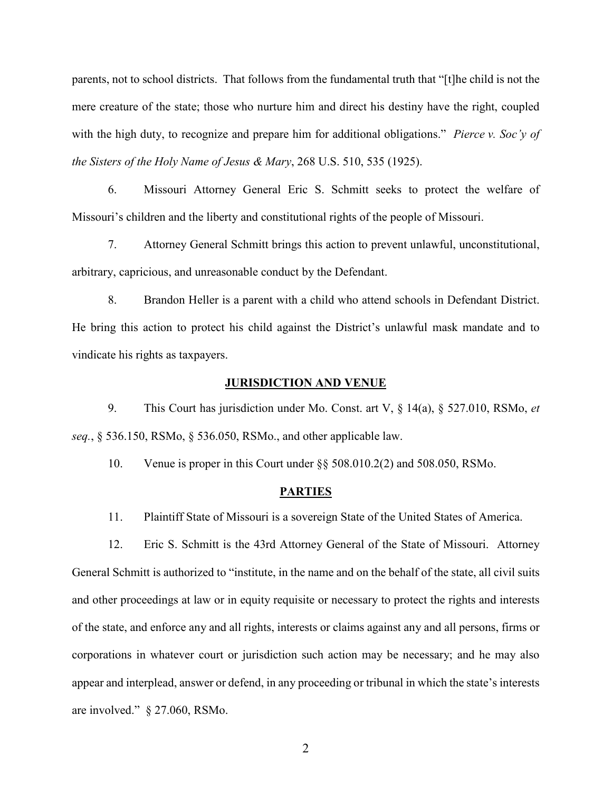parents, not to school districts. That follows from the fundamental truth that "[t]he child is not the mere creature of the state; those who nurture him and direct his destiny have the right, coupled with the high duty, to recognize and prepare him for additional obligations." *Pierce v. Soc'y of the Sisters of the Holy Name of Jesus & Mary*, 268 U.S. 510, 535 (1925).

6. Missouri Attorney General Eric S. Schmitt seeks to protect the welfare of Missouri's children and the liberty and constitutional rights of the people of Missouri.

7. Attorney General Schmitt brings this action to prevent unlawful, unconstitutional, arbitrary, capricious, and unreasonable conduct by the Defendant.

8. Brandon Heller is a parent with a child who attend schools in Defendant District. He bring this action to protect his child against the District's unlawful mask mandate and to vindicate his rights as taxpayers.

## **JURISDICTION AND VENUE**

9. This Court has jurisdiction under Mo. Const. art V, § 14(a), § 527.010, RSMo, *et seq.*, § 536.150, RSMo, § 536.050, RSMo., and other applicable law.

10. Venue is proper in this Court under §§ 508.010.2(2) and 508.050, RSMo.

### **PARTIES**

11. Plaintiff State of Missouri is a sovereign State of the United States of America.

12. Eric S. Schmitt is the 43rd Attorney General of the State of Missouri. Attorney General Schmitt is authorized to "institute, in the name and on the behalf of the state, all civil suits and other proceedings at law or in equity requisite or necessary to protect the rights and interests of the state, and enforce any and all rights, interests or claims against any and all persons, firms or corporations in whatever court or jurisdiction such action may be necessary; and he may also appear and interplead, answer or defend, in any proceeding or tribunal in which the state's interests are involved." § 27.060, RSMo.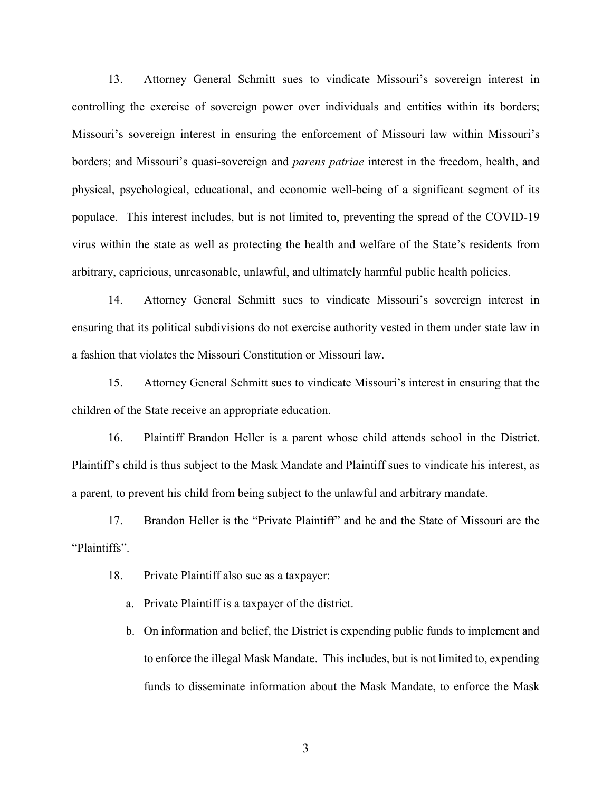13. Attorney General Schmitt sues to vindicate Missouri's sovereign interest in controlling the exercise of sovereign power over individuals and entities within its borders; Missouri's sovereign interest in ensuring the enforcement of Missouri law within Missouri's borders; and Missouri's quasi-sovereign and *parens patriae* interest in the freedom, health, and physical, psychological, educational, and economic well-being of a significant segment of its populace. This interest includes, but is not limited to, preventing the spread of the COVID-19 virus within the state as well as protecting the health and welfare of the State's residents from arbitrary, capricious, unreasonable, unlawful, and ultimately harmful public health policies.

14. Attorney General Schmitt sues to vindicate Missouri's sovereign interest in ensuring that its political subdivisions do not exercise authority vested in them under state law in a fashion that violates the Missouri Constitution or Missouri law.

15. Attorney General Schmitt sues to vindicate Missouri's interest in ensuring that the children of the State receive an appropriate education.

16. Plaintiff Brandon Heller is a parent whose child attends school in the District. Plaintiff's child is thus subject to the Mask Mandate and Plaintiff sues to vindicate his interest, as a parent, to prevent his child from being subject to the unlawful and arbitrary mandate.

17. Brandon Heller is the "Private Plaintiff" and he and the State of Missouri are the "Plaintiffs".

18. Private Plaintiff also sue as a taxpayer:

a. Private Plaintiff is a taxpayer of the district.

b. On information and belief, the District is expending public funds to implement and to enforce the illegal Mask Mandate. This includes, but is not limited to, expending funds to disseminate information about the Mask Mandate, to enforce the Mask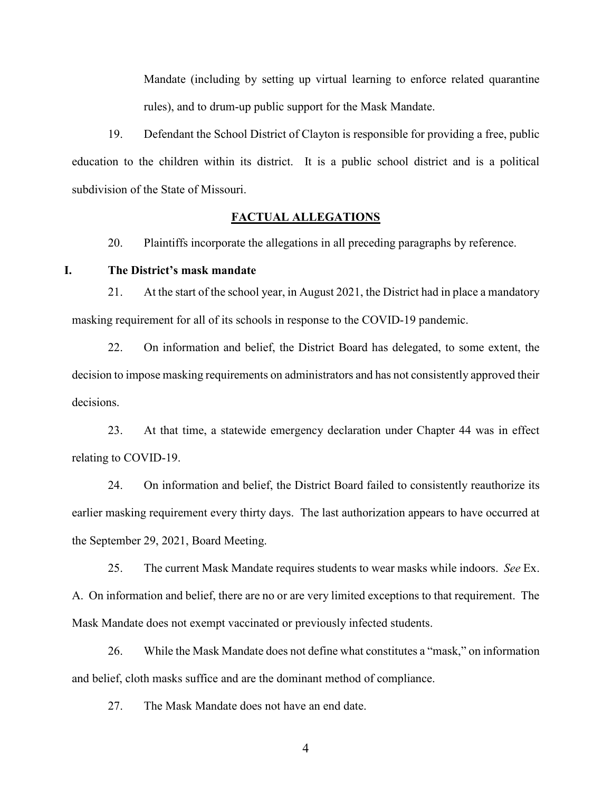Mandate (including by setting up virtual learning to enforce related quarantine rules), and to drum-up public support for the Mask Mandate.

19. Defendant the School District of Clayton is responsible for providing a free, public education to the children within its district. It is a public school district and is a political subdivision of the State of Missouri.

## **FACTUAL ALLEGATIONS**

20. Plaintiffs incorporate the allegations in all preceding paragraphs by reference.

## **I. The District's mask mandate**

21. At the start of the school year, in August 2021, the District had in place a mandatory masking requirement for all of its schools in response to the COVID-19 pandemic.

22. On information and belief, the District Board has delegated, to some extent, the decision to impose masking requirements on administrators and has not consistently approved their decisions.

23. At that time, a statewide emergency declaration under Chapter 44 was in effect relating to COVID-19.

24. On information and belief, the District Board failed to consistently reauthorize its earlier masking requirement every thirty days. The last authorization appears to have occurred at the September 29, 2021, Board Meeting.

25. The current Mask Mandate requires students to wear masks while indoors. *See* Ex. A. On information and belief, there are no or are very limited exceptions to that requirement. The Mask Mandate does not exempt vaccinated or previously infected students.

26. While the Mask Mandate does not define what constitutes a "mask," on information and belief, cloth masks suffice and are the dominant method of compliance.

27. The Mask Mandate does not have an end date.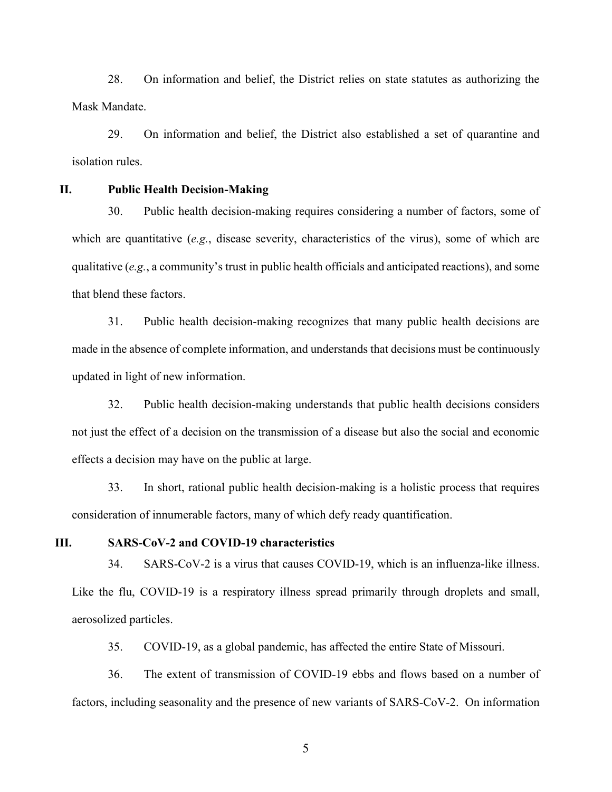28. On information and belief, the District relies on state statutes as authorizing the Mask Mandate.

29. On information and belief, the District also established a set of quarantine and isolation rules.

**II. Public Health Decision-Making**

30. Public health decision-making requires considering a number of factors, some of which are quantitative (*e.g.*, disease severity, characteristics of the virus), some of which are qualitative (*e.g.*, a community's trust in public health officials and anticipated reactions), and some that blend these factors.

31. Public health decision-making recognizes that many public health decisions are made in the absence of complete information, and understands that decisions must be continuously updated in light of new information.

32. Public health decision-making understands that public health decisions considers not just the effect of a decision on the transmission of a disease but also the social and economic effects a decision may have on the public at large.

33. In short, rational public health decision-making is a holistic process that requires consideration of innumerable factors, many of which defy ready quantification.

### **III. SARS-CoV-2 and COVID-19 characteristics**

34. SARS-CoV-2 is a virus that causes COVID-19, which is an influenza-like illness. Like the flu, COVID-19 is a respiratory illness spread primarily through droplets and small, aerosolized particles.

35. COVID-19, as a global pandemic, has affected the entire State of Missouri.

36. The extent of transmission of COVID-19 ebbs and flows based on a number of factors, including seasonality and the presence of new variants of SARS-CoV-2. On information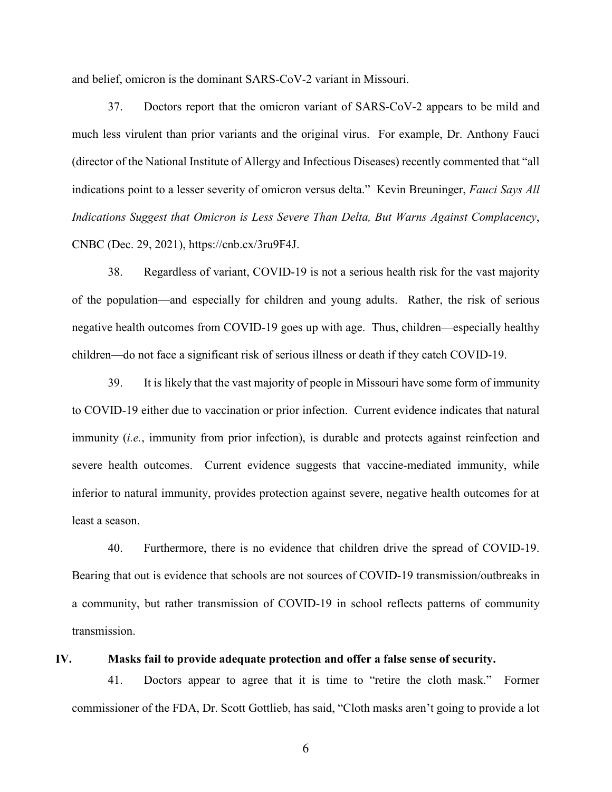and belief, omicron is the dominant SARS-CoV-2 variant in Missouri.

37. Doctors report that the omicron variant of SARS-CoV-2 appears to be mild and much less virulent than prior variants and the original virus. For example, Dr. Anthony Fauci (director of the National Institute of Allergy and Infectious Diseases) recently commented that "all indications point to a lesser severity of omicron versus delta." Kevin Breuninger, *Fauci Says All Indications Suggest that Omicron is Less Severe Than Delta, But Warns Against Complacency*, CNBC (Dec. 29, 2021), https://cnb.cx/3ru9F4J.

38. Regardless of variant, COVID-19 is not a serious health risk for the vast majority of the population—and especially for children and young adults. Rather, the risk of serious negative health outcomes from COVID-19 goes up with age. Thus, children—especially healthy children—do not face a significant risk of serious illness or death if they catch COVID-19.

39. It is likely that the vast majority of people in Missouri have some form of immunity to COVID-19 either due to vaccination or prior infection. Current evidence indicates that natural immunity (*i.e.*, immunity from prior infection), is durable and protects against reinfection and severe health outcomes. Current evidence suggests that vaccine-mediated immunity, while inferior to natural immunity, provides protection against severe, negative health outcomes for at least a season.

40. Furthermore, there is no evidence that children drive the spread of COVID-19. Bearing that out is evidence that schools are not sources of COVID-19 transmission/outbreaks in a community, but rather transmission of COVID-19 in school reflects patterns of community transmission.

## **IV. Masks fail to provide adequate protection and offer a false sense of security.**

41. Doctors appear to agree that it is time to "retire the cloth mask." Former commissioner of the FDA, Dr. Scott Gottlieb, has said, "Cloth masks aren't going to provide a lot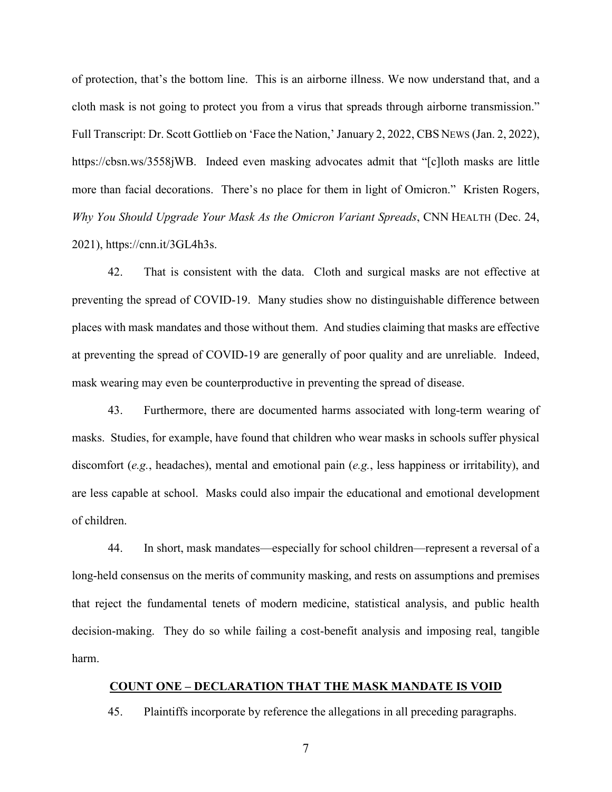of protection, that's the bottom line. This is an airborne illness. We now understand that, and a cloth mask is not going to protect you from a virus that spreads through airborne transmission." Full Transcript: Dr. Scott Gottlieb on 'Face the Nation,' January 2, 2022, CBS NEWS (Jan. 2, 2022), https://cbsn.ws/3558jWB. Indeed even masking advocates admit that "[c]loth masks are little more than facial decorations. There's no place for them in light of Omicron." Kristen Rogers, *Why You Should Upgrade Your Mask As the Omicron Variant Spreads*, CNN HEALTH (Dec. 24, 2021), https://cnn.it/3GL4h3s.

42. That is consistent with the data. Cloth and surgical masks are not effective at preventing the spread of COVID-19. Many studies show no distinguishable difference between places with mask mandates and those without them. And studies claiming that masks are effective at preventing the spread of COVID-19 are generally of poor quality and are unreliable. Indeed, mask wearing may even be counterproductive in preventing the spread of disease.

43. Furthermore, there are documented harms associated with long-term wearing of masks. Studies, for example, have found that children who wear masks in schools suffer physical discomfort (*e.g.*, headaches), mental and emotional pain (*e.g.*, less happiness or irritability), and are less capable at school. Masks could also impair the educational and emotional development of children.

44. In short, mask mandates—especially for school children—represent a reversal of a long-held consensus on the merits of community masking, and rests on assumptions and premises that reject the fundamental tenets of modern medicine, statistical analysis, and public health decision-making. They do so while failing a cost-benefit analysis and imposing real, tangible harm.

#### **COUNT ONE – DECLARATION THAT THE MASK MANDATE IS VOID**

45. Plaintiffs incorporate by reference the allegations in all preceding paragraphs.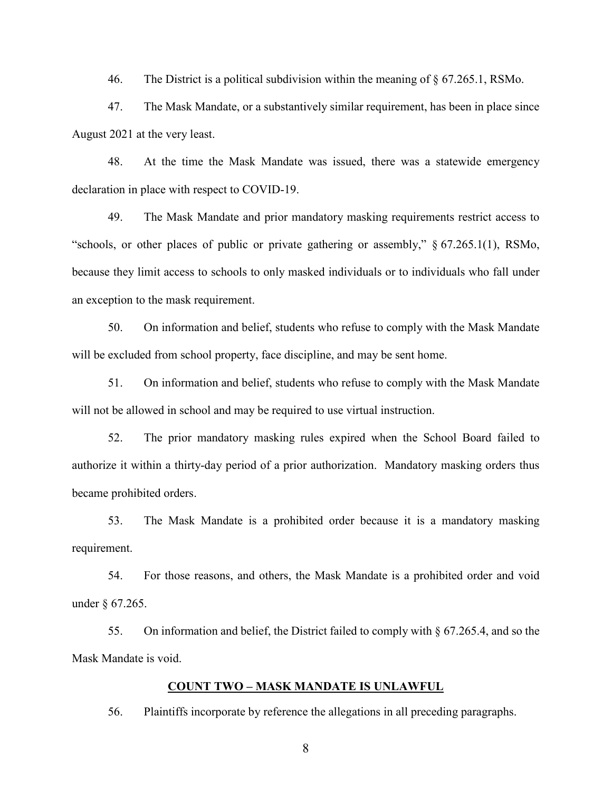46. The District is a political subdivision within the meaning of § 67.265.1, RSMo.

47. The Mask Mandate, or a substantively similar requirement, has been in place since August 2021 at the very least.

48. At the time the Mask Mandate was issued, there was a statewide emergency declaration in place with respect to COVID-19.

49. The Mask Mandate and prior mandatory masking requirements restrict access to "schools, or other places of public or private gathering or assembly," § 67.265.1(1), RSMo, because they limit access to schools to only masked individuals or to individuals who fall under an exception to the mask requirement.

50. On information and belief, students who refuse to comply with the Mask Mandate will be excluded from school property, face discipline, and may be sent home.

51. On information and belief, students who refuse to comply with the Mask Mandate will not be allowed in school and may be required to use virtual instruction.

52. The prior mandatory masking rules expired when the School Board failed to authorize it within a thirty-day period of a prior authorization. Mandatory masking orders thus became prohibited orders.

53. The Mask Mandate is a prohibited order because it is a mandatory masking requirement.

54. For those reasons, and others, the Mask Mandate is a prohibited order and void under § 67.265.

55. On information and belief, the District failed to comply with § 67.265.4, and so the Mask Mandate is void.

### **COUNT TWO – MASK MANDATE IS UNLAWFUL**

56. Plaintiffs incorporate by reference the allegations in all preceding paragraphs.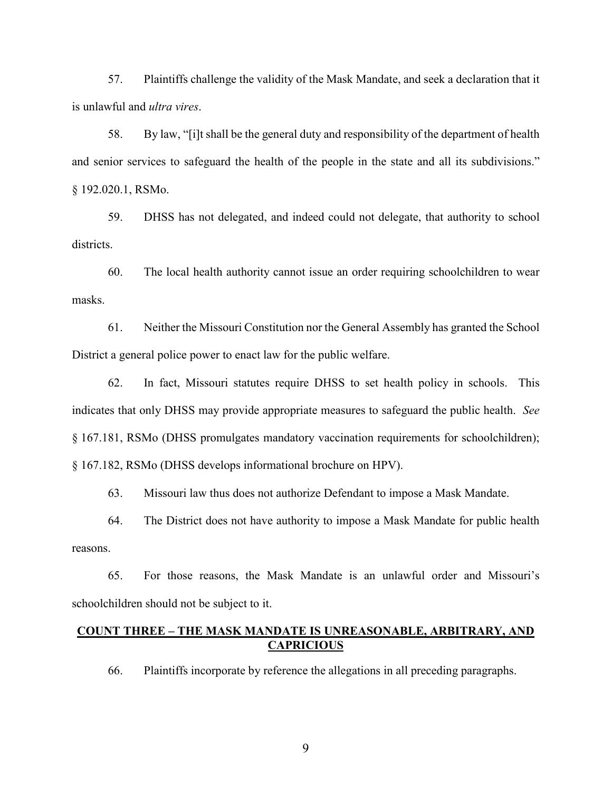57. Plaintiffs challenge the validity of the Mask Mandate, and seek a declaration that it is unlawful and *ultra vires*.

58. By law, "[i]t shall be the general duty and responsibility of the department of health and senior services to safeguard the health of the people in the state and all its subdivisions." § 192.020.1, RSMo.

59. DHSS has not delegated, and indeed could not delegate, that authority to school districts.

60. The local health authority cannot issue an order requiring schoolchildren to wear masks.

61. Neither the Missouri Constitution nor the General Assembly has granted the School District a general police power to enact law for the public welfare.

62. In fact, Missouri statutes require DHSS to set health policy in schools. This indicates that only DHSS may provide appropriate measures to safeguard the public health. *See*  § 167.181, RSMo (DHSS promulgates mandatory vaccination requirements for schoolchildren); § 167.182, RSMo (DHSS develops informational brochure on HPV).

63. Missouri law thus does not authorize Defendant to impose a Mask Mandate.

64. The District does not have authority to impose a Mask Mandate for public health reasons.

65. For those reasons, the Mask Mandate is an unlawful order and Missouri's schoolchildren should not be subject to it.

## **COUNT THREE – THE MASK MANDATE IS UNREASONABLE, ARBITRARY, AND CAPRICIOUS**

66. Plaintiffs incorporate by reference the allegations in all preceding paragraphs.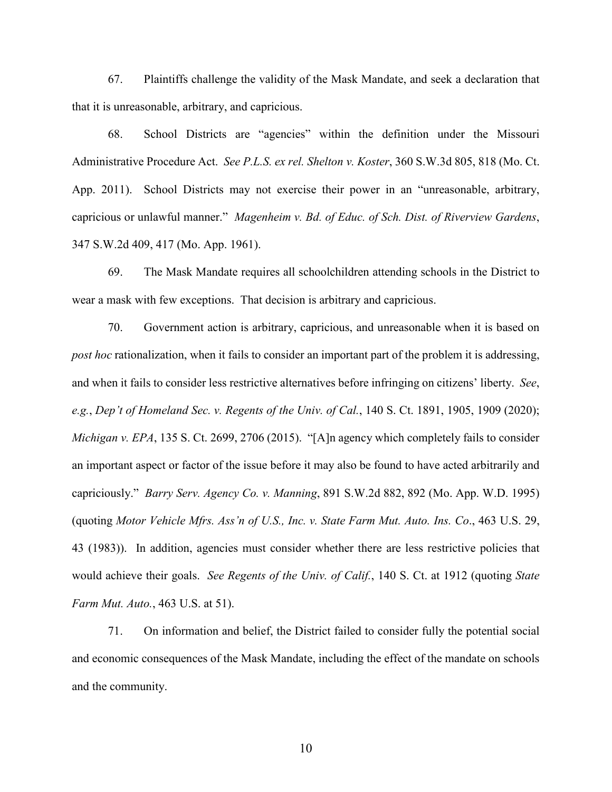67. Plaintiffs challenge the validity of the Mask Mandate, and seek a declaration that that it is unreasonable, arbitrary, and capricious.

68. School Districts are "agencies" within the definition under the Missouri Administrative Procedure Act. *See P.L.S. ex rel. Shelton v. Koster*, 360 S.W.3d 805, 818 (Mo. Ct. App. 2011). School Districts may not exercise their power in an "unreasonable, arbitrary, capricious or unlawful manner." *Magenheim v. Bd. of Educ. of Sch. Dist. of Riverview Gardens*, 347 S.W.2d 409, 417 (Mo. App. 1961).

69. The Mask Mandate requires all schoolchildren attending schools in the District to wear a mask with few exceptions. That decision is arbitrary and capricious.

70. Government action is arbitrary, capricious, and unreasonable when it is based on *post hoc* rationalization, when it fails to consider an important part of the problem it is addressing, and when it fails to consider less restrictive alternatives before infringing on citizens' liberty. *See*, *e.g.*, *Dep't of Homeland Sec. v. Regents of the Univ. of Cal.*, 140 S. Ct. 1891, 1905, 1909 (2020); *Michigan v. EPA*, 135 S. Ct. 2699, 2706 (2015). "[A]n agency which completely fails to consider an important aspect or factor of the issue before it may also be found to have acted arbitrarily and capriciously." *Barry Serv. Agency Co. v. Manning*, 891 S.W.2d 882, 892 (Mo. App. W.D. 1995) (quoting *Motor Vehicle Mfrs. Ass'n of U.S., Inc. v. State Farm Mut. Auto. Ins. Co*., 463 U.S. 29, 43 (1983)). In addition, agencies must consider whether there are less restrictive policies that would achieve their goals. *See Regents of the Univ. of Calif.*, 140 S. Ct. at 1912 (quoting *State Farm Mut. Auto.*, 463 U.S. at 51).

71. On information and belief, the District failed to consider fully the potential social and economic consequences of the Mask Mandate, including the effect of the mandate on schools and the community.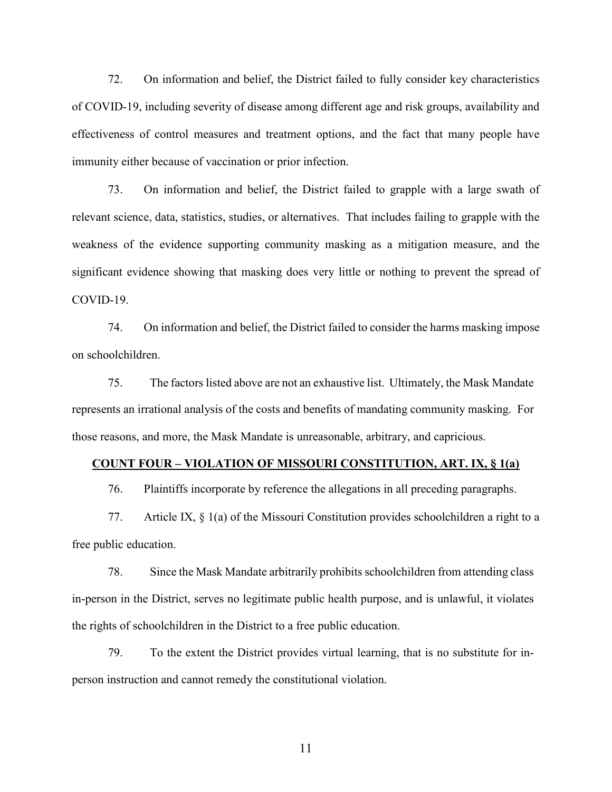72. On information and belief, the District failed to fully consider key characteristics of COVID-19, including severity of disease among different age and risk groups, availability and effectiveness of control measures and treatment options, and the fact that many people have immunity either because of vaccination or prior infection.

73. On information and belief, the District failed to grapple with a large swath of relevant science, data, statistics, studies, or alternatives. That includes failing to grapple with the weakness of the evidence supporting community masking as a mitigation measure, and the significant evidence showing that masking does very little or nothing to prevent the spread of COVID-19.

74. On information and belief, the District failed to consider the harms masking impose on schoolchildren.

75. The factors listed above are not an exhaustive list. Ultimately, the Mask Mandate represents an irrational analysis of the costs and benefits of mandating community masking. For those reasons, and more, the Mask Mandate is unreasonable, arbitrary, and capricious.

# **COUNT FOUR – VIOLATION OF MISSOURI CONSTITUTION, ART. IX, § 1(a)**

76. Plaintiffs incorporate by reference the allegations in all preceding paragraphs.

77. Article IX, § 1(a) of the Missouri Constitution provides schoolchildren a right to a free public education.

78. Since the Mask Mandate arbitrarily prohibits schoolchildren from attending class in-person in the District, serves no legitimate public health purpose, and is unlawful, it violates the rights of schoolchildren in the District to a free public education.

79. To the extent the District provides virtual learning, that is no substitute for inperson instruction and cannot remedy the constitutional violation.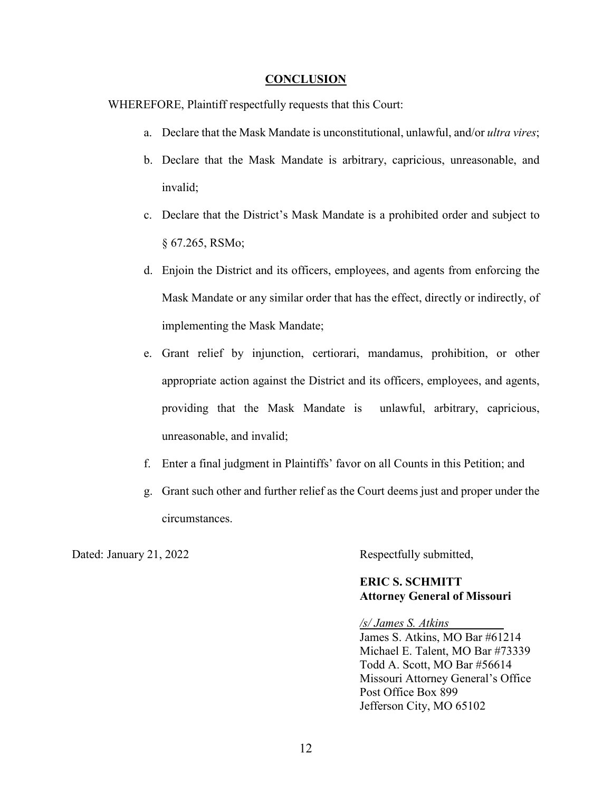### **CONCLUSION**

WHEREFORE, Plaintiff respectfully requests that this Court:

- a. Declare that the Mask Mandate is unconstitutional, unlawful, and/or *ultra vires*;
- b. Declare that the Mask Mandate is arbitrary, capricious, unreasonable, and invalid;
- c. Declare that the District's Mask Mandate is a prohibited order and subject to § 67.265, RSMo;
- d. Enjoin the District and its officers, employees, and agents from enforcing the Mask Mandate or any similar order that has the effect, directly or indirectly, of implementing the Mask Mandate;
- e. Grant relief by injunction, certiorari, mandamus, prohibition, or other appropriate action against the District and its officers, employees, and agents, providing that the Mask Mandate is unlawful, arbitrary, capricious, unreasonable, and invalid;
- f. Enter a final judgment in Plaintiffs' favor on all Counts in this Petition; and
- g. Grant such other and further relief as the Court deems just and proper under the circumstances.

Dated: January 21, 2022 Respectfully submitted,

## **ERIC S. SCHMITT Attorney General of Missouri**

*/s/ James S. Atkins* James S. Atkins, MO Bar #61214 Michael E. Talent, MO Bar #73339 Todd A. Scott, MO Bar #56614 Missouri Attorney General's Office Post Office Box 899

Jefferson City, MO 65102